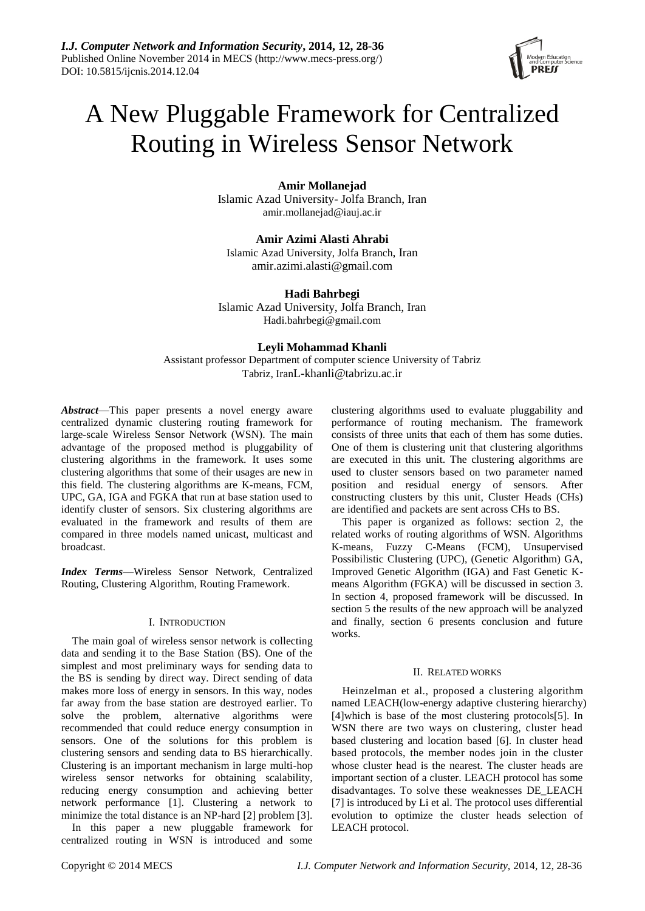

# A New Pluggable Framework for Centralized Routing in Wireless Sensor Network

**Amir Mollanejad**

Islamic Azad University- Jolfa Branch, Iran amir.mollanejad@iauj.ac.ir

**Amir Azimi Alasti Ahrabi** Islamic Azad University, Jolfa Branch, Iran amir.azimi.alasti@gmail.com

# **Hadi Bahrbegi**

Islamic Azad University, Jolfa Branch, Iran Hadi.bahrbegi@gmail.com

# **Leyli Mohammad Khanli**

Assistant professor Department of computer science University of Tabriz Tabriz, IranL-khanli@tabrizu.ac.ir

*Abstract*—This paper presents a novel energy aware centralized dynamic clustering routing framework for large-scale Wireless Sensor Network (WSN). The main advantage of the proposed method is pluggability of clustering algorithms in the framework. It uses some clustering algorithms that some of their usages are new in this field. The clustering algorithms are K-means, FCM, UPC, GA, IGA and FGKA that run at base station used to identify cluster of sensors. Six clustering algorithms are evaluated in the framework and results of them are compared in three models named unicast, multicast and broadcast.

*Index Terms*—Wireless Sensor Network, Centralized Routing, Clustering Algorithm, Routing Framework.

## I. INTRODUCTION

The main goal of wireless sensor network is collecting data and sending it to the Base Station (BS). One of the simplest and most preliminary ways for sending data to the BS is sending by direct way. Direct sending of data makes more loss of energy in sensors. In this way, nodes far away from the base station are destroyed earlier. To solve the problem, alternative algorithms were recommended that could reduce energy consumption in sensors. One of the solutions for this problem is clustering sensors and sending data to BS hierarchically. Clustering is an important mechanism in large multi-hop wireless sensor networks for obtaining scalability, reducing energy consumption and achieving better network performance [1]. Clustering a network to minimize the total distance is an NP-hard [2] problem [3].

In this paper a new pluggable framework for centralized routing in WSN is introduced and some

clustering algorithms used to evaluate pluggability and performance of routing mechanism. The framework consists of three units that each of them has some duties. One of them is clustering unit that clustering algorithms are executed in this unit. The clustering algorithms are used to cluster sensors based on two parameter named position and residual energy of sensors. After constructing clusters by this unit, Cluster Heads (CHs) are identified and packets are sent across CHs to BS.

This paper is organized as follows: section 2, the related works of routing algorithms of WSN. Algorithms K-means, Fuzzy C-Means (FCM), Unsupervised Possibilistic Clustering (UPC), (Genetic Algorithm) GA, Improved Genetic Algorithm (IGA) and Fast Genetic Kmeans Algorithm (FGKA) will be discussed in section 3. In section 4, proposed framework will be discussed. In section 5 the results of the new approach will be analyzed and finally, section 6 presents conclusion and future works.

## II. RELATED WORKS

Heinzelman et al., proposed a clustering algorithm named LEACH(low-energy adaptive clustering hierarchy) [4]which is base of the most clustering protocols[5]. In WSN there are two ways on clustering, cluster head based clustering and location based [6]. In cluster head based protocols, the member nodes join in the cluster whose cluster head is the nearest. The cluster heads are important section of a cluster. LEACH protocol has some disadvantages. To solve these weaknesses DE\_LEACH [7] is introduced by Li et al. The protocol uses differential evolution to optimize the cluster heads selection of LEACH protocol.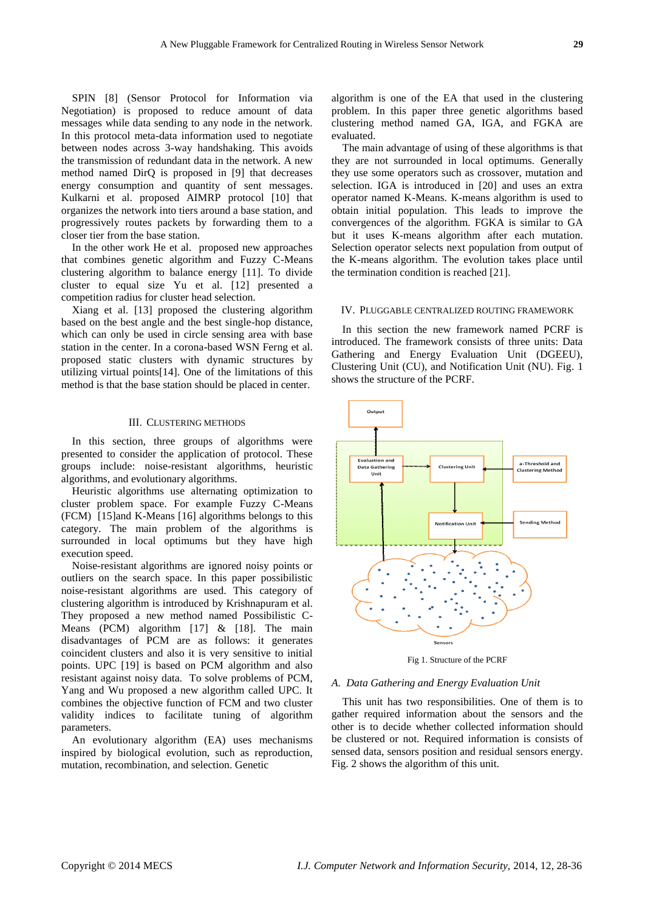SPIN [8] (Sensor Protocol for Information via Negotiation) is proposed to reduce amount of data messages while data sending to any node in the network. In this protocol meta-data information used to negotiate between nodes across 3-way handshaking. This avoids the transmission of redundant data in the network. A new method named DirQ is proposed in [9] that decreases energy consumption and quantity of sent messages. Kulkarni et al. proposed AIMRP protocol [10] that organizes the network into tiers around a base station, and progressively routes packets by forwarding them to a closer tier from the base station.

In the other work He et al. proposed new approaches that combines genetic algorithm and Fuzzy C-Means clustering algorithm to balance energy [11]. To divide cluster to equal size Yu et al. [12] presented a competition radius for cluster head selection.

Xiang et al. [13] proposed the clustering algorithm based on the best angle and the best single-hop distance, which can only be used in circle sensing area with base station in the center. In a corona-based WSN Ferng et al. proposed static clusters with dynamic structures by utilizing virtual points[14]. One of the limitations of this method is that the base station should be placed in center.

#### III. CLUSTERING METHODS

In this section, three groups of algorithms were presented to consider the application of protocol. These groups include: noise-resistant algorithms, heuristic algorithms, and evolutionary algorithms.

Heuristic algorithms use alternating optimization to cluster problem space. For example Fuzzy C-Means (FCM) [15]and K-Means [16] algorithms belongs to this category. The main problem of the algorithms is surrounded in local optimums but they have high execution speed.

Noise-resistant algorithms are ignored noisy points or outliers on the search space. In this paper possibilistic noise-resistant algorithms are used. This category of clustering algorithm is introduced by Krishnapuram et al. They proposed a new method named Possibilistic C-Means (PCM) algorithm [17] & [18]. The main disadvantages of PCM are as follows: it generates coincident clusters and also it is very sensitive to initial points. UPC [19] is based on PCM algorithm and also resistant against noisy data. To solve problems of PCM, Yang and Wu proposed a new algorithm called UPC. It combines the objective function of FCM and two cluster validity indices to facilitate tuning of algorithm parameters.

An evolutionary algorithm (EA) uses mechanisms inspired by biological evolution, such as reproduction, mutation, recombination, and selection. Genetic

algorithm is one of the EA that used in the clustering problem. In this paper three genetic algorithms based clustering method named GA, IGA, and FGKA are evaluated.

The main advantage of using of these algorithms is that they are not surrounded in local optimums. Generally they use some operators such as crossover, mutation and selection. IGA is introduced in [20] and uses an extra operator named K-Means. K-means algorithm is used to obtain initial population. This leads to improve the convergences of the algorithm. FGKA is similar to GA but it uses K-means algorithm after each mutation. Selection operator selects next population from output of the K-means algorithm. The evolution takes place until the termination condition is reached [21].

#### IV. PLUGGABLE CENTRALIZED ROUTING FRAMEWORK

In this section the new framework named PCRF is introduced. The framework consists of three units: Data Gathering and Energy Evaluation Unit (DGEEU), Clustering Unit (CU), and Notification Unit (NU). Fig. 1 shows the structure of the PCRF.



Fig 1. Structure of the PCRF

#### *A. Data Gathering and Energy Evaluation Unit*

This unit has two responsibilities. One of them is to gather required information about the sensors and the other is to decide whether collected information should be clustered or not. Required information is consists of sensed data, sensors position and residual sensors energy. Fig. 2 shows the algorithm of this unit.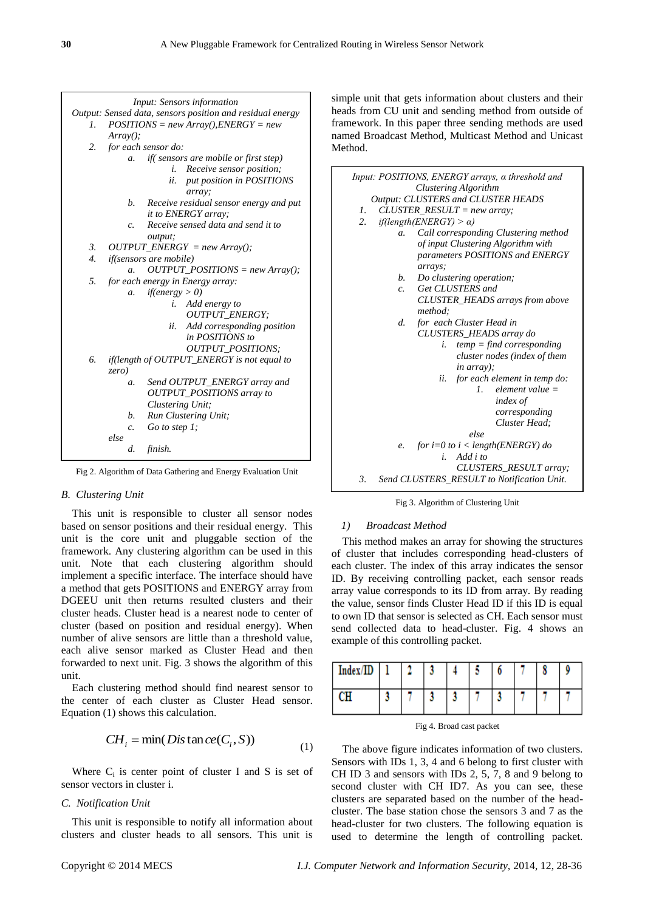

Fig 2. Algorithm of Data Gathering and Energy Evaluation Unit

## *B. Clustering Unit*

This unit is responsible to cluster all sensor nodes based on sensor positions and their residual energy. This unit is the core unit and pluggable section of the framework. Any clustering algorithm can be used in this unit. Note that each clustering algorithm should implement a specific interface. The interface should have a method that gets POSITIONS and ENERGY array from DGEEU unit then returns resulted clusters and their cluster heads. Cluster head is a nearest node to center of cluster (based on position and residual energy). When number of alive sensors are little than a threshold value, each alive sensor marked as Cluster Head and then forwarded to next unit. Fig. 3 shows the algorithm of this unit.

Each clustering method should find nearest sensor to the center of each cluster as Cluster Head sensor. Equation (1) shows this calculation.

$$
CHi = min(Dis \tan ce(Ci, S))
$$
\n(1)

Where  $C_i$  is center point of cluster I and S is set of sensor vectors in cluster i.

#### *C. Notification Unit*

This unit is responsible to notify all information about clusters and cluster heads to all sensors. This unit is simple unit that gets information about clusters and their heads from CU unit and sending method from outside of framework. In this paper three sending methods are used named Broadcast Method, Multicast Method and Unicast Method.



Fig 3. Algorithm of Clustering Unit

#### *1) Broadcast Method*

This method makes an array for showing the structures of cluster that includes corresponding head-clusters of each cluster. The index of this array indicates the sensor ID. By receiving controlling packet, each sensor reads array value corresponds to its ID from array. By reading the value, sensor finds Cluster Head ID if this ID is equal to own ID that sensor is selected as CH. Each sensor must send collected data to head-cluster. Fig. 4 shows an example of this controlling packet.

| Index/ID |  |  | O |  |  |
|----------|--|--|---|--|--|
|          |  |  |   |  |  |

Fig 4. Broad cast packet

The above figure indicates information of two clusters. Sensors with IDs 1, 3, 4 and 6 belong to first cluster with CH ID 3 and sensors with IDs 2, 5, 7, 8 and 9 belong to second cluster with CH ID7. As you can see, these clusters are separated based on the number of the headcluster. The base station chose the sensors 3 and 7 as the head-cluster for two clusters. The following equation is used to determine the length of controlling packet.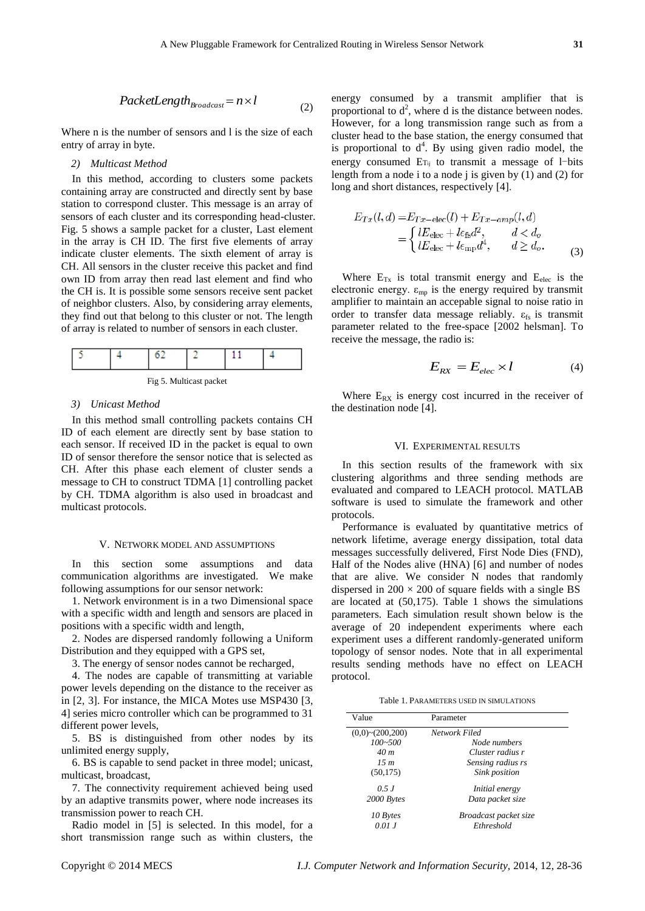$$
PacketLength_{Broadcast} = n \times l \tag{2}
$$

Where n is the number of sensors and l is the size of each entry of array in byte.

### *2) Multicast Method*

**PacketLength<sub>ondow</sub>**  $-2\times1$  **(2)**  $\frac{1}{2}$  **(2)**  $\frac{1}{2}$  **(2)**  $\frac{1}{2}$  **(2)**  $\frac{1}{2}$  **(2)**  $\frac{1}{2}$  **(3)**  $\frac{1}{2}$  **(3)**  $\frac{1}{2}$  **(3)**  $\frac{1}{2}$  **(3)**  $\frac{1}{2}$  **(3)**  $\frac{1}{2}$  **(3)**  $\frac{1}{2}$  **(3)**  $\frac{1}{2}$  **(3)**  $\frac{1}{2}$  **(3) \frac{1** In this method, according to clusters some packets containing array are constructed and directly sent by base station to correspond cluster. This message is an array of sensors of each cluster and its corresponding head-cluster. Fig. 5 shows a sample packet for a cluster, Last element in the array is CH ID. The first five elements of array indicate cluster elements. The sixth element of array is CH. All sensors in the cluster receive this packet and find own ID from array then read last element and find who the CH is. It is possible some sensors receive sent packet of neighbor clusters. Also, by considering array elements, they find out that belong to this cluster or not. The length of array is related to number of sensors in each cluster.



Fig 5. Multicast packet

#### *3) Unicast Method*

In this method small controlling packets contains CH ID of each element are directly sent by base station to each sensor. If received ID in the packet is equal to own ID of sensor therefore the sensor notice that is selected as CH. After this phase each element of cluster sends a message to CH to construct TDMA [\[1\]](#page-7-0) controlling packet by CH. TDMA algorithm is also used in broadcast and multicast protocols.

# V. NETWORK MODEL AND ASSUMPTIONS

In this section some assumptions and data communication algorithms are investigated. We make following assumptions for our sensor network:

1. Network environment is in a two Dimensional space with a specific width and length and sensors are placed in positions with a specific width and length,

2. Nodes are dispersed randomly following a Uniform Distribution and they equipped with a GPS set,

3. The energy of sensor nodes cannot be recharged,

4. The nodes are capable of transmitting at variable power levels depending on the distance to the receiver as in [\[2,](#page-7-1) [3\]](#page-7-2). For instance, the MICA Motes use MSP430 [\[3,](#page-7-2) [4\]](#page-7-3) series micro controller which can be programmed to 31 different power levels,

5. BS is distinguished from other nodes by its unlimited energy supply,

6. BS is capable to send packet in three model; unicast, multicast, broadcast,

7. The connectivity requirement achieved being used by an adaptive transmits power, where node increases its transmission power to reach CH.

Radio model in [\[5\]](#page-7-4) is selected. In this model, for a short transmission range such as within clusters, the energy consumed by a transmit amplifier that is proportional to  $d^2$ , where d is the distance between nodes. However, for a long transmission range such as from a cluster head to the base station, the energy consumed that is proportional to  $d^4$ . By using given radio model, the energy consumed ET<sub>ij</sub> to transmit a message of l-bits length from a node i to a node j is given by  $(1)$  and  $(2)$  for long and short distances, respectively [\[4\]](#page-7-3).

$$
E_{Tx}(l,d) = E_{Tx-\text{elec}}(l) + E_{Tx-\text{amp}}(l,d)
$$
  
= 
$$
\begin{cases} lE_{\text{elec}} + l\epsilon_{\text{fs}}d^2, & d < d_o \\ lE_{\text{elec}} + l\epsilon_{\text{mp}}d^4, & d \ge d_o. \end{cases}
$$
 (3)

Where  $E_{Tx}$  is total transmit energy and  $E_{elec}$  is the electronic energy.  $\varepsilon_{mp}$  is the energy required by transmit amplifier to maintain an accepable signal to noise ratio in order to transfer data message reliably.  $\varepsilon_{fs}$  is transmit parameter related to the free-space [2002 helsman]. To receive the message, the radio is:

$$
E_{RX} = E_{elec} \times l \tag{4}
$$

Where  $E_{RX}$  is energy cost incurred in the receiver of the destination node [\[4\]](#page-7-3).

#### VI. EXPERIMENTAL RESULTS

In this section results of the framework with six clustering algorithms and three sending methods are evaluated and compared to LEACH protocol. MATLAB software is used to simulate the framework and other protocols.

Performance is evaluated by quantitative metrics of network lifetime, average energy dissipation, total data messages successfully delivered, First Node Dies (FND), Half of the Nodes alive (HNA) [\[6\]](#page-7-5) and number of nodes that are alive. We consider N nodes that randomly dispersed in  $200 \times 200$  of square fields with a single BS are located at (50,175). Table 1 shows the simulations parameters. Each simulation result shown below is the average of 20 independent experiments where each experiment uses a different randomly-generated uniform topology of sensor nodes. Note that in all experimental results sending methods have no effect on LEACH protocol.

Table 1. PARAMETERS USED IN SIMULATIONS

| Value                 | Parameter             |  |  |  |  |
|-----------------------|-----------------------|--|--|--|--|
| $(0,0)$ ~ $(200,200)$ | Network Filed         |  |  |  |  |
| $100 - 500$           | Node numbers          |  |  |  |  |
| 40 <sub>m</sub>       | Cluster radius r      |  |  |  |  |
| 15m                   | Sensing radius rs     |  |  |  |  |
| (50, 175)             | Sink position         |  |  |  |  |
| 0.5J                  | <i>Initial energy</i> |  |  |  |  |
| 2000 Bytes            | Data packet size      |  |  |  |  |
| 10 Bytes              | Broadcast packet size |  |  |  |  |
| 0.01 J                | Ethreshold            |  |  |  |  |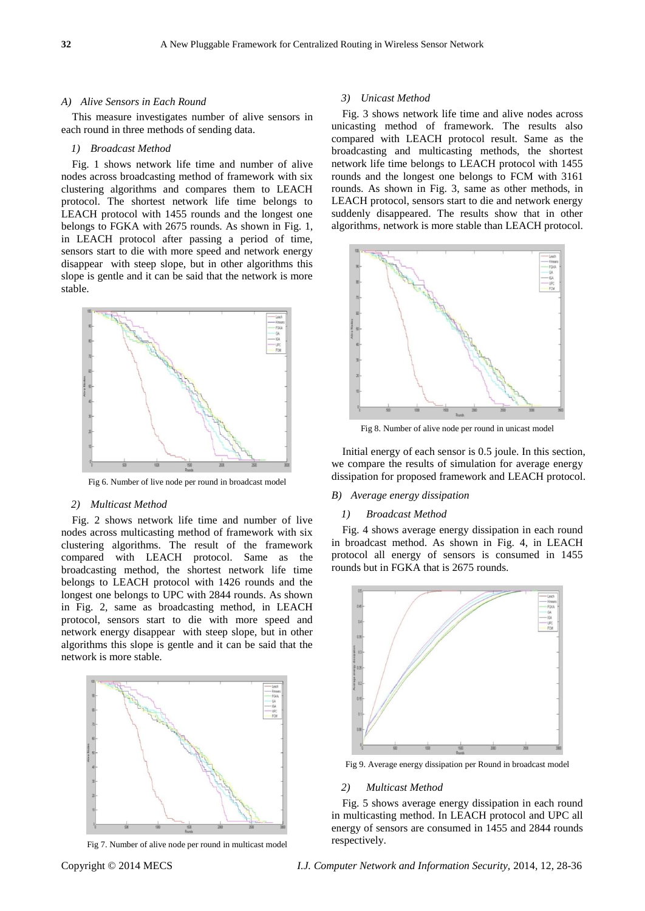#### *A) Alive Sensors in Each Round*

This measure investigates number of alive sensors in each round in three methods of sending data.

#### *1) Broadcast Method*

Fig. 1 shows network life time and number of alive nodes across broadcasting method of framework with six clustering algorithms and compares them to LEACH protocol. The shortest network life time belongs to LEACH protocol with 1455 rounds and the longest one belongs to FGKA with 2675 rounds. As shown in Fig. 1, in LEACH protocol after passing a period of time, sensors start to die with more speed and network energy disappear with steep slope, but in other algorithms this slope is gentle and it can be said that the network is more stable.



Fig 6. Number of live node per round in broadcast model

## *2) Multicast Method*

Fig. 2 shows network life time and number of live nodes across multicasting method of framework with six clustering algorithms. The result of the framework compared with LEACH protocol. Same as the broadcasting method, the shortest network life time belongs to LEACH protocol with 1426 rounds and the longest one belongs to UPC with 2844 rounds. As shown in Fig. 2, same as broadcasting method, in LEACH protocol, sensors start to die with more speed and network energy disappear with steep slope, but in other algorithms this slope is gentle and it can be said that the network is more stable.



Fig 7. Number of alive node per round in multicast model

#### *3) Unicast Method*

Fig. 3 shows network life time and alive nodes across unicasting method of framework. The results also compared with LEACH protocol result. Same as the broadcasting and multicasting methods, the shortest network life time belongs to LEACH protocol with 1455 rounds and the longest one belongs to FCM with 3161 rounds. As shown in Fig. 3, same as other methods, in LEACH protocol, sensors start to die and network energy suddenly disappeared. The results show that in other algorithms, network is more stable than LEACH protocol.



Fig 8. Number of alive node per round in unicast model

Initial energy of each sensor is 0.5 joule. In this section, we compare the results of simulation for average energy dissipation for proposed framework and LEACH protocol.

#### *B) Average energy dissipation*

#### *1) Broadcast Method*

Fig. 4 shows average energy dissipation in each round in broadcast method. As shown in Fig. 4, in LEACH protocol all energy of sensors is consumed in 1455 rounds but in FGKA that is 2675 rounds.



Fig 9. Average energy dissipation per Round in broadcast model

#### *2) Multicast Method*

Fig. 5 shows average energy dissipation in each round in multicasting method. In LEACH protocol and UPC all energy of sensors are consumed in 1455 and 2844 rounds respectively.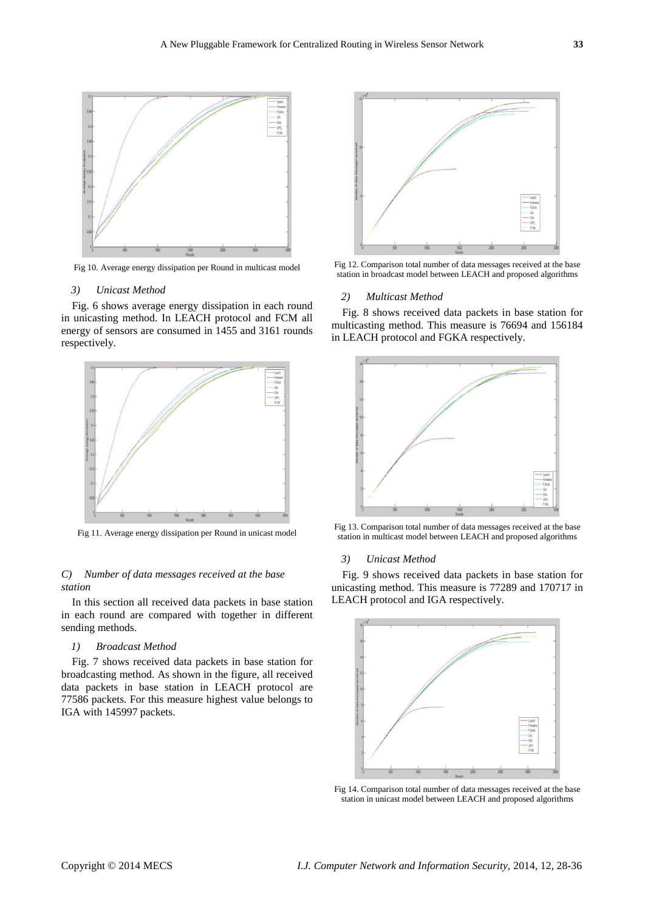

Fig 10. Average energy dissipation per Round in multicast model

## *3) Unicast Method*

Fig. 6 shows average energy dissipation in each round in unicasting method. In LEACH protocol and FCM all energy of sensors are consumed in 1455 and 3161 rounds respectively.



Fig 11. Average energy dissipation per Round in unicast model

# *C) Number of data messages received at the base station*

In this section all received data packets in base station in each round are compared with together in different sending methods.

## *1) Broadcast Method*

Fig. 7 shows received data packets in base station for broadcasting method. As shown in the figure, all received data packets in base station in LEACH protocol are 77586 packets. For this measure highest value belongs to IGA with 145997 packets.



Fig 12. Comparison total number of data messages received at the base station in broadcast model between LEACH and proposed algorithms

#### *2) Multicast Method*

Fig. 8 shows received data packets in base station for multicasting method. This measure is 76694 and 156184 in LEACH protocol and FGKA respectively.



Fig 13. Comparison total number of data messages received at the base station in multicast model between LEACH and proposed algorithms

#### *3) Unicast Method*

Fig. 9 shows received data packets in base station for unicasting method. This measure is 77289 and 170717 in LEACH protocol and IGA respectively.



Fig 14. Comparison total number of data messages received at the base station in unicast model between LEACH and proposed algorithms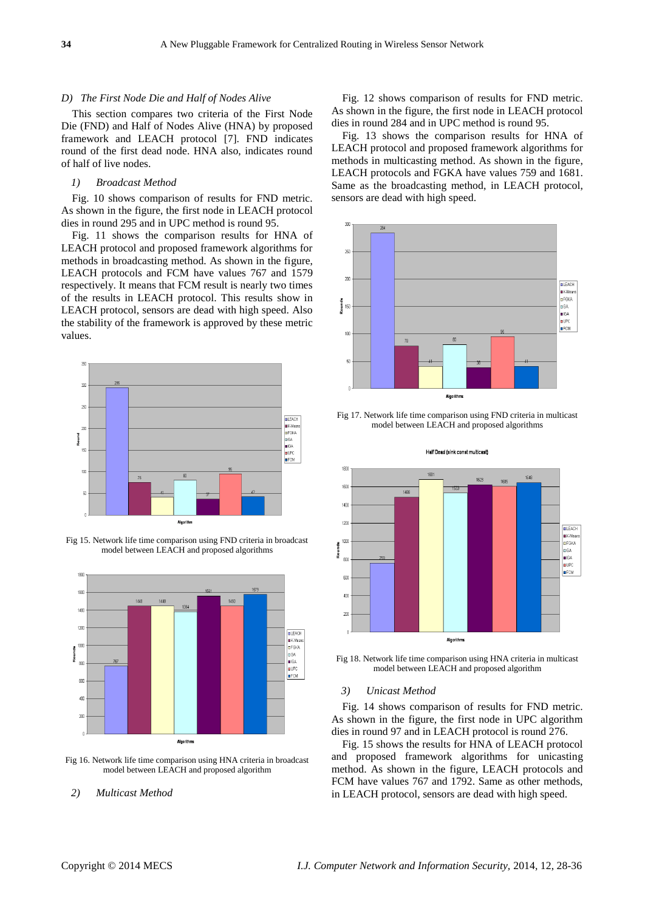#### *D) The First Node Die and Half of Nodes Alive*

This section compares two criteria of the First Node Die (FND) and Half of Nodes Alive (HNA) by proposed framework and LEACH protocol [\[7\]](#page-7-6). FND indicates round of the first dead node. HNA also, indicates round of half of live nodes.

## *1) Broadcast Method*

Fig. 10 shows comparison of results for FND metric. As shown in the figure, the first node in LEACH protocol dies in round 295 and in UPC method is round 95.

Fig. 11 shows the comparison results for HNA of LEACH protocol and proposed framework algorithms for methods in broadcasting method. As shown in the figure, LEACH protocols and FCM have values 767 and 1579 respectively. It means that FCM result is nearly two times of the results in LEACH protocol. This results show in LEACH protocol, sensors are dead with high speed. Also the stability of the framework is approved by these metric values.



Fig 15. Network life time comparison using FND criteria in broadcast model between LEACH and proposed algorithms



Fig 16. Network life time comparison using HNA criteria in broadcast model between LEACH and proposed algorithm

## *2) Multicast Method*

Fig. 12 shows comparison of results for FND metric. As shown in the figure, the first node in LEACH protocol dies in round 284 and in UPC method is round 95.

Fig. 13 shows the comparison results for HNA of LEACH protocol and proposed framework algorithms for methods in multicasting method. As shown in the figure, LEACH protocols and FGKA have values 759 and 1681. Same as the broadcasting method, in LEACH protocol, sensors are dead with high speed.



Fig 17. Network life time comparison using FND criteria in multicast model between LEACH and proposed algorithms



Fig 18. Network life time comparison using HNA criteria in multicast model between LEACH and proposed algorithm

#### *3) Unicast Method*

Fig. 14 shows comparison of results for FND metric. As shown in the figure, the first node in UPC algorithm dies in round 97 and in LEACH protocol is round 276.

Fig. 15 shows the results for HNA of LEACH protocol and proposed framework algorithms for unicasting method. As shown in the figure, LEACH protocols and FCM have values 767 and 1792. Same as other methods, in LEACH protocol, sensors are dead with high speed.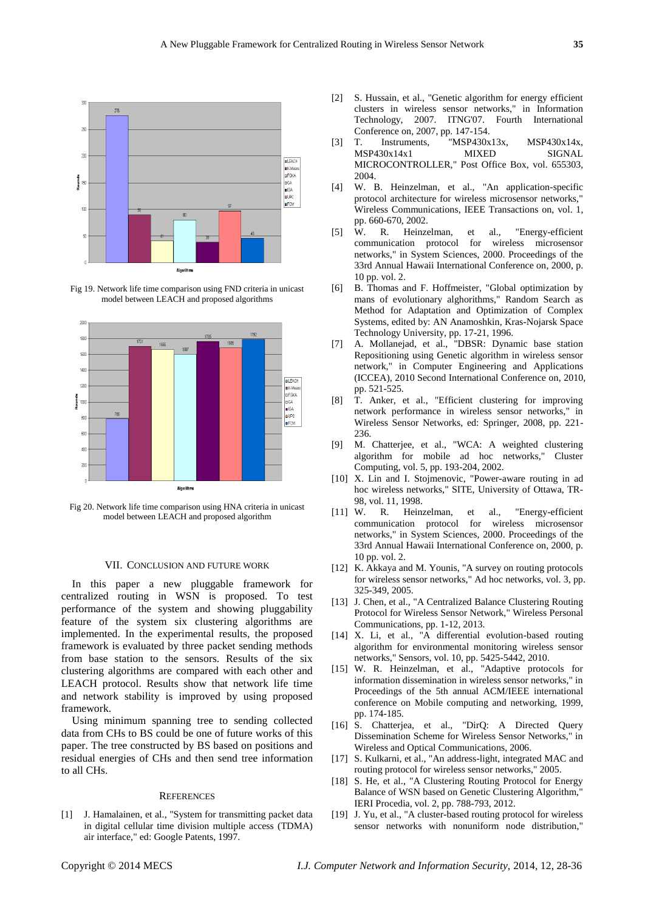

Fig 19. Network life time comparison using FND criteria in unicast model between LEACH and proposed algorithms



Fig 20. Network life time comparison using HNA criteria in unicast model between LEACH and proposed algorithm

### VII. CONCLUSION AND FUTURE WORK

In this paper a new pluggable framework for centralized routing in WSN is proposed. To test performance of the system and showing pluggability feature of the system six clustering algorithms are implemented. In the experimental results, the proposed framework is evaluated by three packet sending methods from base station to the sensors. Results of the six clustering algorithms are compared with each other and LEACH protocol. Results show that network life time and network stability is improved by using proposed framework.

Using minimum spanning tree to sending collected data from CHs to BS could be one of future works of this paper. The tree constructed by BS based on positions and residual energies of CHs and then send tree information to all CHs.

#### **REFERENCES**

<span id="page-7-0"></span>[1] J. Hamalainen, et al., "System for transmitting packet data in digital cellular time division multiple access (TDMA) air interface," ed: Google Patents, 1997.

- <span id="page-7-1"></span>[2] S. Hussain, et al., "Genetic algorithm for energy efficient clusters in wireless sensor networks," in Information Technology, 2007. ITNG'07. Fourth International Conference on, 2007, pp. 147-154.
- <span id="page-7-2"></span>[3] T. Instruments, "MSP430x13x, MSP430x14x, MSP430x14x1 MIXED SIGNAL MICROCONTROLLER," Post Office Box, vol. 655303, 2004.
- <span id="page-7-3"></span>[4] W. B. Heinzelman, et al., "An application-specific protocol architecture for wireless microsensor networks," Wireless Communications, IEEE Transactions on, vol. 1, pp. 660-670, 2002.
- <span id="page-7-4"></span>[5] W. R. Heinzelman, et al., "Energy-efficient communication protocol for wireless microsensor networks," in System Sciences, 2000. Proceedings of the 33rd Annual Hawaii International Conference on, 2000, p. 10 pp. vol. 2.
- <span id="page-7-5"></span>[6] B. Thomas and F. Hoffmeister, "Global optimization by mans of evolutionary alghorithms," Random Search as Method for Adaptation and Optimization of Complex Systems, edited by: AN Anamoshkin, Kras-Nojarsk Space Technology University, pp. 17-21, 1996.
- <span id="page-7-6"></span>[7] A. Mollanejad, et al., "DBSR: Dynamic base station Repositioning using Genetic algorithm in wireless sensor network," in Computer Engineering and Applications (ICCEA), 2010 Second International Conference on, 2010, pp. 521-525.
- [8] T. Anker, et al., "Efficient clustering for improving network performance in wireless sensor networks," in Wireless Sensor Networks, ed: Springer, 2008, pp. 221- 236.
- [9] M. Chatterjee, et al., "WCA: A weighted clustering algorithm for mobile ad hoc networks," Cluster Computing, vol. 5, pp. 193-204, 2002.
- [10] X. Lin and I. Stojmenovic, "Power-aware routing in ad hoc wireless networks," SITE, University of Ottawa, TR-98, vol. 11, 1998.
- [11] W. R. Heinzelman, et al., "Energy-efficient communication protocol for wireless microsensor networks," in System Sciences, 2000. Proceedings of the 33rd Annual Hawaii International Conference on, 2000, p. 10 pp. vol. 2.
- [12] K. Akkaya and M. Younis, "A survey on routing protocols for wireless sensor networks," Ad hoc networks, vol. 3, pp. 325-349, 2005.
- [13] J. Chen, et al., "A Centralized Balance Clustering Routing Protocol for Wireless Sensor Network," Wireless Personal Communications, pp. 1-12, 2013.
- [14] X. Li, et al., "A differential evolution-based routing algorithm for environmental monitoring wireless sensor networks," Sensors, vol. 10, pp. 5425-5442, 2010.
- [15] W. R. Heinzelman, et al., "Adaptive protocols for information dissemination in wireless sensor networks," in Proceedings of the 5th annual ACM/IEEE international conference on Mobile computing and networking, 1999, pp. 174-185.
- [16] S. Chatterjea, et al., "DirQ: A Directed Query Dissemination Scheme for Wireless Sensor Networks," in Wireless and Optical Communications, 2006.
- [17] S. Kulkarni, et al., "An address-light, integrated MAC and routing protocol for wireless sensor networks," 2005.
- [18] S. He, et al., "A Clustering Routing Protocol for Energy Balance of WSN based on Genetic Clustering Algorithm," IERI Procedia, vol. 2, pp. 788-793, 2012.
- [19] J. Yu, et al., "A cluster-based routing protocol for wireless sensor networks with nonuniform node distribution,"